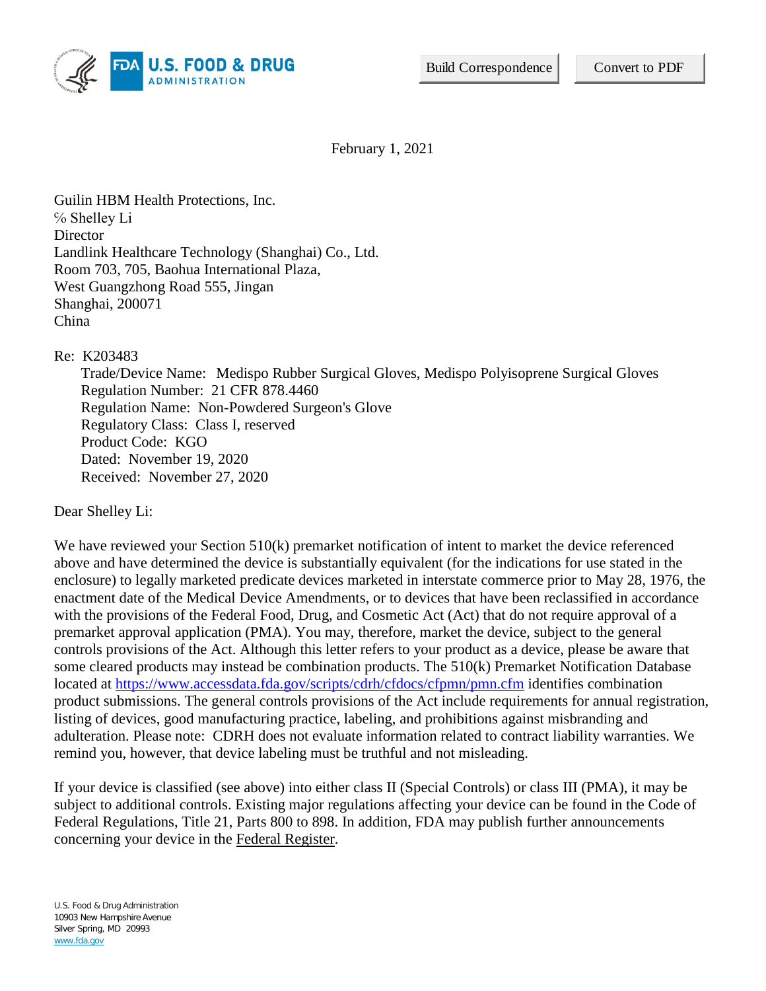

February 1, 2021

Guilin HBM Health Protections, Inc. ℅ Shelley Li **Director** Landlink Healthcare Technology (Shanghai) Co., Ltd. Room 703, 705, Baohua International Plaza, West Guangzhong Road 555, Jingan Shanghai, 200071 China

Re: K203483

Trade/Device Name: Medispo Rubber Surgical Gloves, Medispo Polyisoprene Surgical Gloves Regulation Number: 21 CFR 878.4460 Regulation Name: Non-Powdered Surgeon's Glove Regulatory Class: Class I, reserved Product Code: KGO Dated: November 19, 2020 Received: November 27, 2020

Dear Shelley Li:

We have reviewed your Section 510(k) premarket notification of intent to market the device referenced above and have determined the device is substantially equivalent (for the indications for use stated in the enclosure) to legally marketed predicate devices marketed in interstate commerce prior to May 28, 1976, the enactment date of the Medical Device Amendments, or to devices that have been reclassified in accordance with the provisions of the Federal Food, Drug, and Cosmetic Act (Act) that do not require approval of a premarket approval application (PMA). You may, therefore, market the device, subject to the general controls provisions of the Act. Although this letter refers to your product as a device, please be aware that some cleared products may instead be combination products. The 510(k) Premarket Notification Database located at<https://www.accessdata.fda.gov/scripts/cdrh/cfdocs/cfpmn/pmn.cfm> identifies combination product submissions. The general controls provisions of the Act include requirements for annual registration, listing of devices, good manufacturing practice, labeling, and prohibitions against misbranding and adulteration. Please note: CDRH does not evaluate information related to contract liability warranties. We remind you, however, that device labeling must be truthful and not misleading.

If your device is classified (see above) into either class II (Special Controls) or class III (PMA), it may be subject to additional controls. Existing major regulations affecting your device can be found in the Code of Federal Regulations, Title 21, Parts 800 to 898. In addition, FDA may publish further announcements concerning your device in the Federal Register.